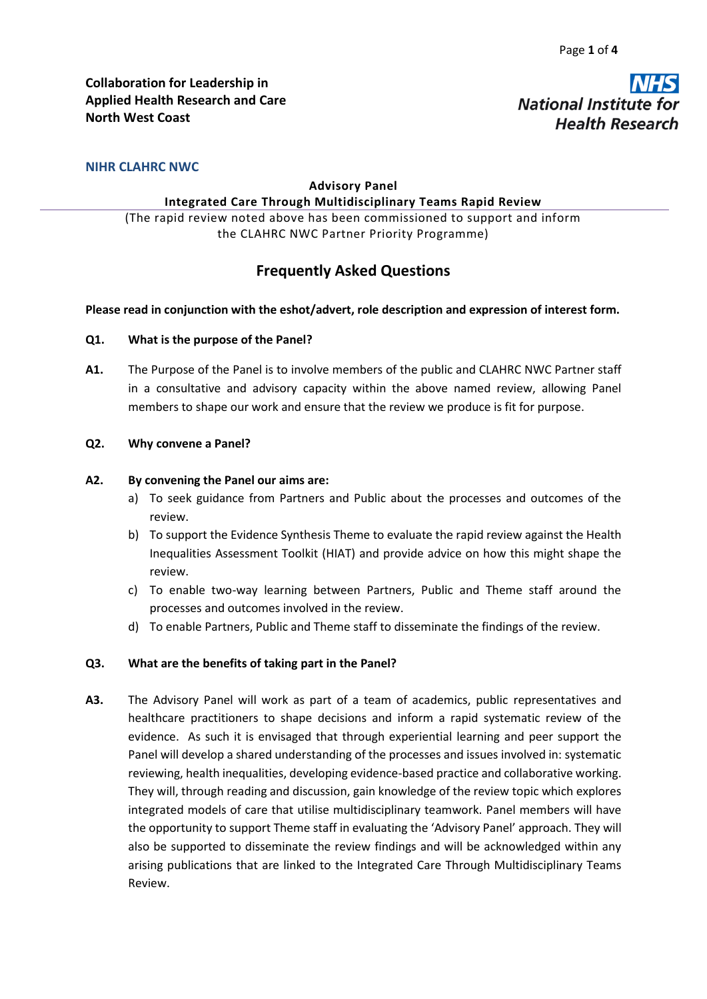**National Institute** 

**Health Research** 

### **NIHR CLAHRC NWC**

#### **Advisory Panel**

#### **Integrated Care Through Multidisciplinary Teams Rapid Review**

(The rapid review noted above has been commissioned to support and inform the CLAHRC NWC Partner Priority Programme)

# **Frequently Asked Questions**

#### **Please read in conjunction with the eshot/advert, role description and expression of interest form.**

#### **Q1. What is the purpose of the Panel?**

**A1.** The Purpose of the Panel is to involve members of the public and CLAHRC NWC Partner staff in a consultative and advisory capacity within the above named review, allowing Panel members to shape our work and ensure that the review we produce is fit for purpose.

#### **Q2. Why convene a Panel?**

#### **A2. By convening the Panel our aims are:**

- a) To seek guidance from Partners and Public about the processes and outcomes of the review.
- b) To support the Evidence Synthesis Theme to evaluate the rapid review against the Health Inequalities Assessment Toolkit (HIAT) and provide advice on how this might shape the review.
- c) To enable two-way learning between Partners, Public and Theme staff around the processes and outcomes involved in the review.
- d) To enable Partners, Public and Theme staff to disseminate the findings of the review.

### **Q3. What are the benefits of taking part in the Panel?**

**A3.** The Advisory Panel will work as part of a team of academics, public representatives and healthcare practitioners to shape decisions and inform a rapid systematic review of the evidence. As such it is envisaged that through experiential learning and peer support the Panel will develop a shared understanding of the processes and issues involved in: systematic reviewing, health inequalities, developing evidence-based practice and collaborative working. They will, through reading and discussion, gain knowledge of the review topic which explores integrated models of care that utilise multidisciplinary teamwork. Panel members will have the opportunity to support Theme staff in evaluating the 'Advisory Panel' approach. They will also be supported to disseminate the review findings and will be acknowledged within any arising publications that are linked to the Integrated Care Through Multidisciplinary Teams Review.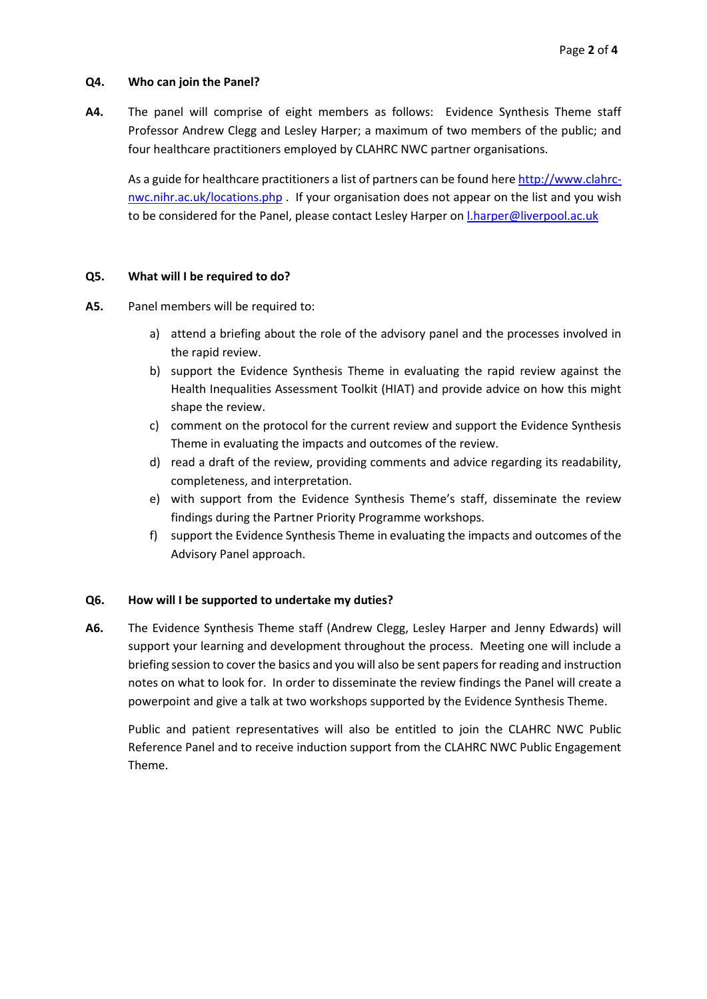### **Q4. Who can join the Panel?**

**A4.** The panel will comprise of eight members as follows: Evidence Synthesis Theme staff Professor Andrew Clegg and Lesley Harper; a maximum of two members of the public; and four healthcare practitioners employed by CLAHRC NWC partner organisations.

As a guide for healthcare practitioners a list of partners can be found here [http://www.clahrc](http://www.clahrc-nwc.nihr.ac.uk/locations.php)[nwc.nihr.ac.uk/locations.php](http://www.clahrc-nwc.nihr.ac.uk/locations.php) . If your organisation does not appear on the list and you wish to be considered for the Panel, please contact Lesley Harper on [l.harper@liverpool.ac.uk](mailto:l.harper@liverpool.ac.uk)

#### **Q5. What will I be required to do?**

- **A5.** Panel members will be required to:
	- a) attend a briefing about the role of the advisory panel and the processes involved in the rapid review.
	- b) support the Evidence Synthesis Theme in evaluating the rapid review against the Health Inequalities Assessment Toolkit (HIAT) and provide advice on how this might shape the review.
	- c) comment on the protocol for the current review and support the Evidence Synthesis Theme in evaluating the impacts and outcomes of the review.
	- d) read a draft of the review, providing comments and advice regarding its readability, completeness, and interpretation.
	- e) with support from the Evidence Synthesis Theme's staff, disseminate the review findings during the Partner Priority Programme workshops.
	- f) support the Evidence Synthesis Theme in evaluating the impacts and outcomes of the Advisory Panel approach.

### **Q6. How will I be supported to undertake my duties?**

**A6.** The Evidence Synthesis Theme staff (Andrew Clegg, Lesley Harper and Jenny Edwards) will support your learning and development throughout the process. Meeting one will include a briefing session to cover the basics and you will also be sent papers for reading and instruction notes on what to look for. In order to disseminate the review findings the Panel will create a powerpoint and give a talk at two workshops supported by the Evidence Synthesis Theme.

Public and patient representatives will also be entitled to join the CLAHRC NWC Public Reference Panel and to receive induction support from the CLAHRC NWC Public Engagement Theme.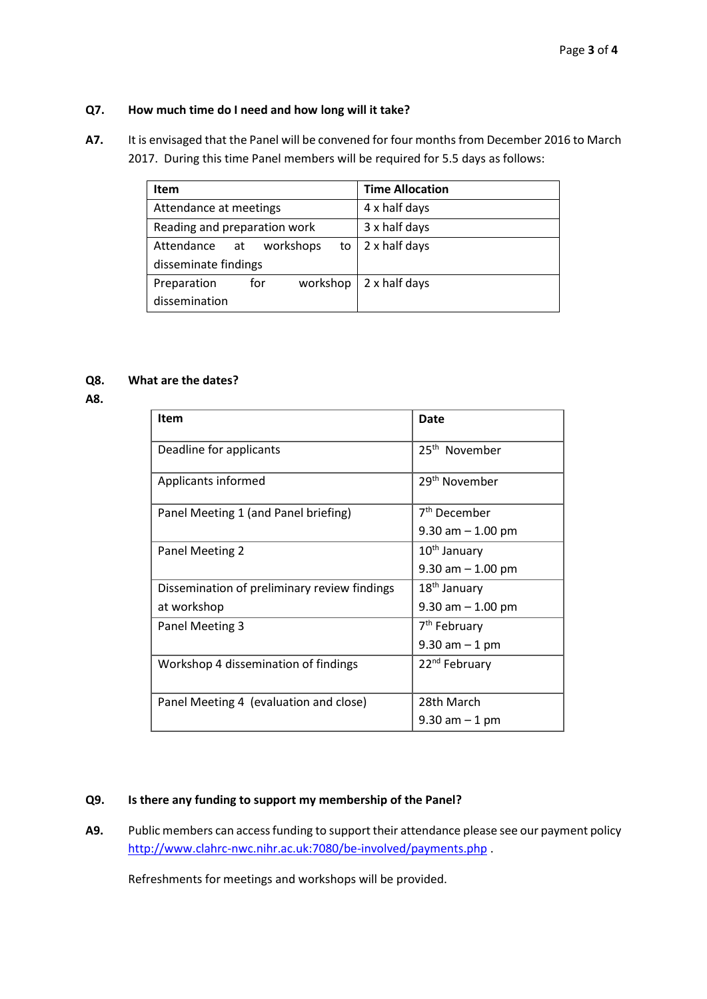### **Q7. How much time do I need and how long will it take?**

**A7.** It is envisaged that the Panel will be convened for four months from December 2016 to March 2017. During this time Panel members will be required for 5.5 days as follows:

| <b>Item</b>                         | <b>Time Allocation</b> |
|-------------------------------------|------------------------|
| Attendance at meetings              | 4 x half days          |
| Reading and preparation work        | 3 x half days          |
| workshops<br>Attendance<br>to<br>at | 2 x half days          |
| disseminate findings                |                        |
| workshop<br>Preparation<br>for      | 2 x half days          |
| dissemination                       |                        |

# **Q8. What are the dates?**

**A8.**

| <b>Item</b>                                  | Date                      |
|----------------------------------------------|---------------------------|
| Deadline for applicants                      | 25 <sup>th</sup> November |
| Applicants informed                          | 29 <sup>th</sup> November |
| Panel Meeting 1 (and Panel briefing)         | 7 <sup>th</sup> December  |
|                                              | $9.30$ am $-1.00$ pm      |
| Panel Meeting 2                              | 10 <sup>th</sup> January  |
|                                              | $9.30$ am $-1.00$ pm      |
| Dissemination of preliminary review findings | $18th$ January            |
| at workshop                                  | $9.30$ am $-1.00$ pm      |
| Panel Meeting 3                              | 7 <sup>th</sup> February  |
|                                              | $9.30$ am $-1$ pm         |
| Workshop 4 dissemination of findings         | 22 <sup>nd</sup> February |
| Panel Meeting 4 (evaluation and close)       | 28th March                |
|                                              | $9.30$ am $-1$ pm         |

# **Q9. Is there any funding to support my membership of the Panel?**

**A9.** Public members can access funding to support their attendance please see our payment policy <http://www.clahrc-nwc.nihr.ac.uk:7080/be-involved/payments.php> .

Refreshments for meetings and workshops will be provided.